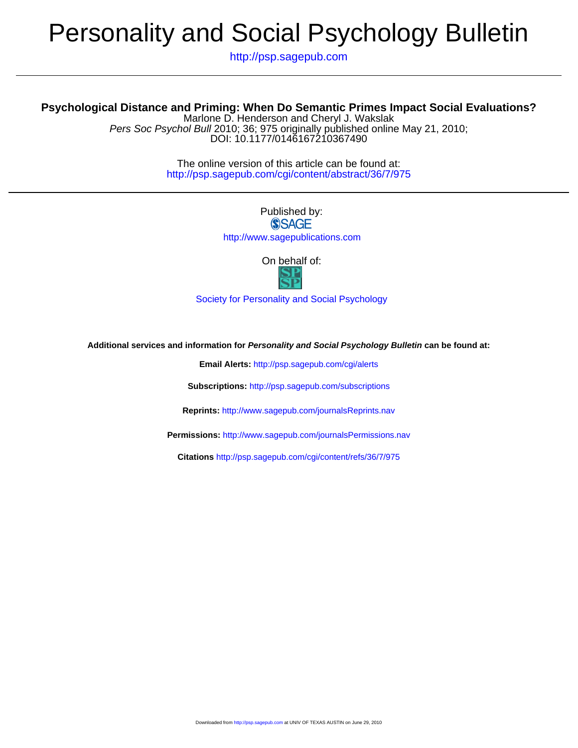# Personality and Social Psychology Bulletin

http://psp.sagepub.com

## **Psychological Distance and Priming: When Do Semantic Primes Impact Social Evaluations?**

DOI: 10.1177/0146167210367490 Pers Soc Psychol Bull 2010; 36; 975 originally published online May 21, 2010; Marlone D. Henderson and Cheryl J. Wakslak

> http://psp.sagepub.com/cgi/content/abstract/36/7/975 The online version of this article can be found at:

# Published by: **SSAGE**

http://www.sagepublications.com

On behalf of:



[Society for Personality and Social Psychology](http://www.spsp.org/)

**Additional services and information for Personality and Social Psychology Bulletin can be found at:**

**Email Alerts:** <http://psp.sagepub.com/cgi/alerts>

**Subscriptions:** <http://psp.sagepub.com/subscriptions>

**Reprints:** <http://www.sagepub.com/journalsReprints.nav>

**Permissions:** <http://www.sagepub.com/journalsPermissions.nav>

**Citations** <http://psp.sagepub.com/cgi/content/refs/36/7/975>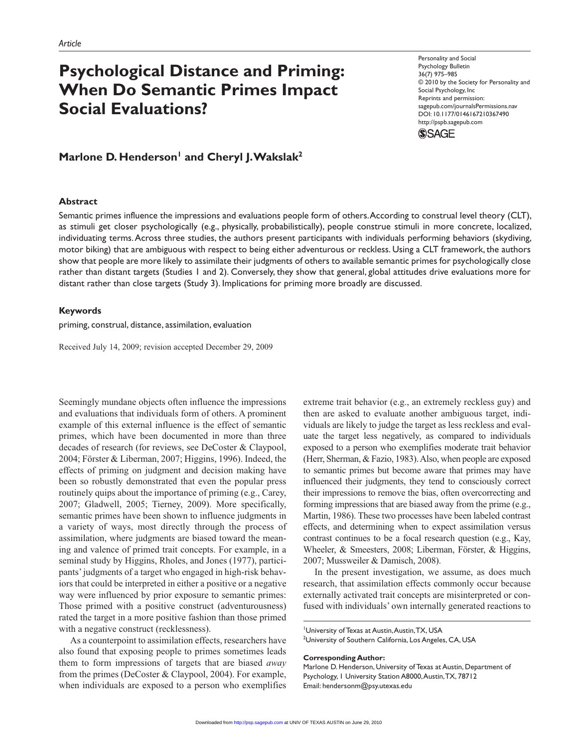# **Psychological Distance and Priming: When Do Semantic Primes Impact Social Evaluations?**

Personality and Social Psychology Bulletin 36(7) 975–985 © 2010 by the Society for Personality and Social Psychology, Inc Reprints and permission: sagepub.com/journalsPermissions.nav DOI: 10.1177/0146167210367490 http://pspb.sagepub.com



### **Marlone D. Henderson<sup>1</sup> and Cheryl J. Wakslak<sup>2</sup>**

#### **Abstract**

Semantic primes influence the impressions and evaluations people form of others. According to construal level theory (CLT), as stimuli get closer psychologically (e.g., physically, probabilistically), people construe stimuli in more concrete, localized, individuating terms. Across three studies, the authors present participants with individuals performing behaviors (skydiving, motor biking) that are ambiguous with respect to being either adventurous or reckless. Using a CLT framework, the authors show that people are more likely to assimilate their judgments of others to available semantic primes for psychologically close rather than distant targets (Studies 1 and 2). Conversely, they show that general, global attitudes drive evaluations more for distant rather than close targets (Study 3). Implications for priming more broadly are discussed.

#### **Keywords**

priming, construal, distance, assimilation, evaluation

Received July 14, 2009; revision accepted December 29, 2009

Seemingly mundane objects often influence the impressions and evaluations that individuals form of others. A prominent example of this external influence is the effect of semantic primes, which have been documented in more than three decades of research (for reviews, see DeCoster & Claypool, 2004; Förster & Liberman, 2007; Higgins, 1996). Indeed, the effects of priming on judgment and decision making have been so robustly demonstrated that even the popular press routinely quips about the importance of priming (e.g., Carey, 2007; Gladwell, 2005; Tierney, 2009). More specifically, semantic primes have been shown to influence judgments in a variety of ways, most directly through the process of assimilation, where judgments are biased toward the meaning and valence of primed trait concepts. For example, in a seminal study by Higgins, Rholes, and Jones (1977), participants' judgments of a target who engaged in high-risk behaviors that could be interpreted in either a positive or a negative way were influenced by prior exposure to semantic primes: Those primed with a positive construct (adventurousness) rated the target in a more positive fashion than those primed with a negative construct (recklessness).

As a counterpoint to assimilation effects, researchers have also found that exposing people to primes sometimes leads them to form impressions of targets that are biased *away* from the primes (DeCoster & Claypool, 2004). For example, when individuals are exposed to a person who exemplifies extreme trait behavior (e.g., an extremely reckless guy) and then are asked to evaluate another ambiguous target, individuals are likely to judge the target as less reckless and evaluate the target less negatively, as compared to individuals exposed to a person who exemplifies moderate trait behavior (Herr, Sherman, & Fazio, 1983). Also, when people are exposed to semantic primes but become aware that primes may have influenced their judgments, they tend to consciously correct their impressions to remove the bias, often overcorrecting and forming impressions that are biased away from the prime (e.g., Martin, 1986). These two processes have been labeled contrast effects, and determining when to expect assimilation versus contrast continues to be a focal research question (e.g., Kay, Wheeler, & Smeesters, 2008; Liberman, Förster, & Higgins, 2007; Mussweiler & Damisch, 2008).

In the present investigation, we assume, as does much research, that assimilation effects commonly occur because externally activated trait concepts are misinterpreted or confused with individuals' own internally generated reactions to

**Corresponding Author:**

University of Texas at Austin, Austin, TX, USA <sup>2</sup>University of Southern California, Los Angeles, CA, USA

Marlone D. Henderson, University of Texas at Austin, Department of Psychology, 1 University Station A8000, Austin, TX, 78712 Email: hendersonm@psy.utexas.edu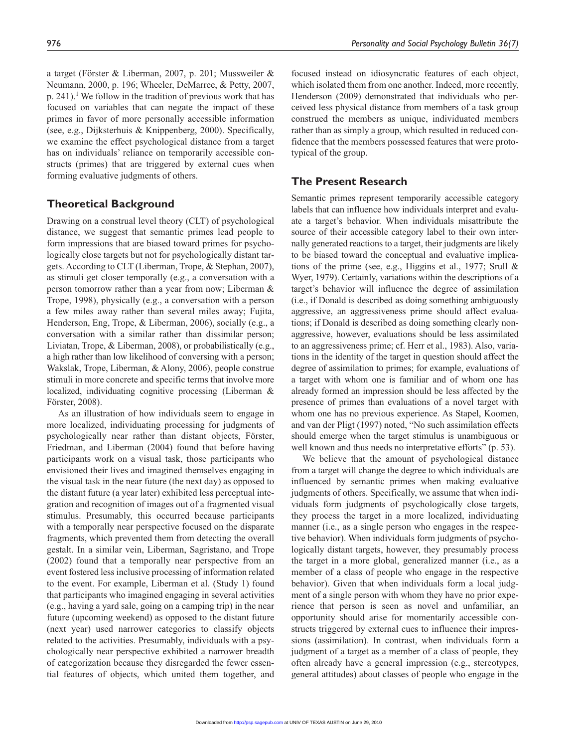a target (Förster & Liberman, 2007, p. 201; Mussweiler & Neumann, 2000, p. 196; Wheeler, DeMarree, & Petty, 2007, p. 241).<sup>1</sup> We follow in the tradition of previous work that has focused on variables that can negate the impact of these primes in favor of more personally accessible information (see, e.g., Dijksterhuis & Knippenberg, 2000). Specifically, we examine the effect psychological distance from a target has on individuals' reliance on temporarily accessible constructs (primes) that are triggered by external cues when forming evaluative judgments of others.

#### **Theoretical Background**

Drawing on a construal level theory (CLT) of psychological distance, we suggest that semantic primes lead people to form impressions that are biased toward primes for psychologically close targets but not for psychologically distant targets. According to CLT (Liberman, Trope, & Stephan, 2007), as stimuli get closer temporally (e.g., a conversation with a person tomorrow rather than a year from now; Liberman & Trope, 1998), physically (e.g., a conversation with a person a few miles away rather than several miles away; Fujita, Henderson, Eng, Trope, & Liberman, 2006), socially (e.g., a conversation with a similar rather than dissimilar person; Liviatan, Trope, & Liberman, 2008), or probabilistically (e.g., a high rather than low likelihood of conversing with a person; Wakslak, Trope, Liberman, & Alony, 2006), people construe stimuli in more concrete and specific terms that involve more localized, individuating cognitive processing (Liberman & Förster, 2008).

As an illustration of how individuals seem to engage in more localized, individuating processing for judgments of psychologically near rather than distant objects, Förster, Friedman, and Liberman (2004) found that before having participants work on a visual task, those participants who envisioned their lives and imagined themselves engaging in the visual task in the near future (the next day) as opposed to the distant future (a year later) exhibited less perceptual integration and recognition of images out of a fragmented visual stimulus. Presumably, this occurred because participants with a temporally near perspective focused on the disparate fragments, which prevented them from detecting the overall gestalt. In a similar vein, Liberman, Sagristano, and Trope (2002) found that a temporally near perspective from an event fostered less inclusive processing of information related to the event. For example, Liberman et al. (Study 1) found that participants who imagined engaging in several activities (e.g., having a yard sale, going on a camping trip) in the near future (upcoming weekend) as opposed to the distant future (next year) used narrower categories to classify objects related to the activities. Presumably, individuals with a psychologically near perspective exhibited a narrower breadth of categorization because they disregarded the fewer essential features of objects, which united them together, and focused instead on idiosyncratic features of each object, which isolated them from one another. Indeed, more recently, Henderson (2009) demonstrated that individuals who perceived less physical distance from members of a task group construed the members as unique, individuated members rather than as simply a group, which resulted in reduced confidence that the members possessed features that were prototypical of the group.

#### **The Present Research**

Semantic primes represent temporarily accessible category labels that can influence how individuals interpret and evaluate a target's behavior. When individuals misattribute the source of their accessible category label to their own internally generated reactions to a target, their judgments are likely to be biased toward the conceptual and evaluative implications of the prime (see, e.g., Higgins et al., 1977; Srull & Wyer, 1979). Certainly, variations within the descriptions of a target's behavior will influence the degree of assimilation (i.e., if Donald is described as doing something ambiguously aggressive, an aggressiveness prime should affect evaluations; if Donald is described as doing something clearly nonaggressive, however, evaluations should be less assimilated to an aggressiveness prime; cf. Herr et al., 1983). Also, variations in the identity of the target in question should affect the degree of assimilation to primes; for example, evaluations of a target with whom one is familiar and of whom one has already formed an impression should be less affected by the presence of primes than evaluations of a novel target with whom one has no previous experience. As Stapel, Koomen, and van der Pligt (1997) noted, "No such assimilation effects should emerge when the target stimulus is unambiguous or well known and thus needs no interpretative efforts" (p. 53).

We believe that the amount of psychological distance from a target will change the degree to which individuals are influenced by semantic primes when making evaluative judgments of others. Specifically, we assume that when individuals form judgments of psychologically close targets, they process the target in a more localized, individuating manner (i.e., as a single person who engages in the respective behavior). When individuals form judgments of psychologically distant targets, however, they presumably process the target in a more global, generalized manner (i.e., as a member of a class of people who engage in the respective behavior). Given that when individuals form a local judgment of a single person with whom they have no prior experience that person is seen as novel and unfamiliar, an opportunity should arise for momentarily accessible constructs triggered by external cues to influence their impressions (assimilation). In contrast, when individuals form a judgment of a target as a member of a class of people, they often already have a general impression (e.g., stereotypes, general attitudes) about classes of people who engage in the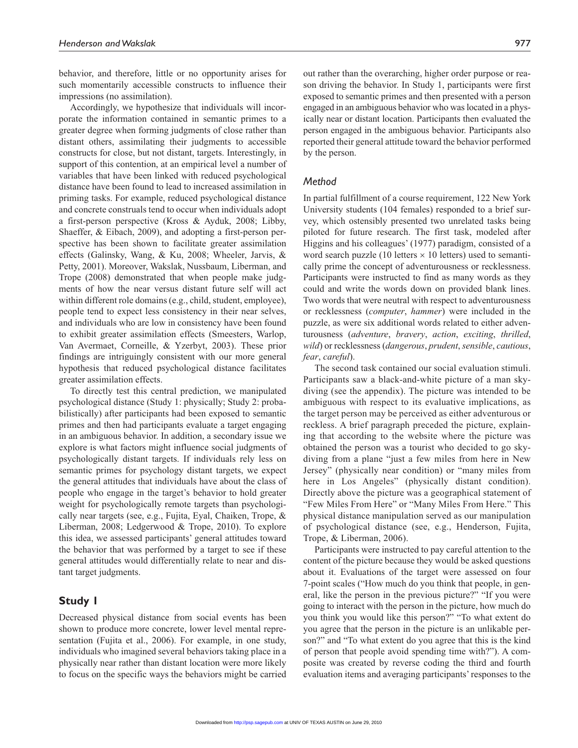behavior, and therefore, little or no opportunity arises for such momentarily accessible constructs to influence their impressions (no assimilation).

Accordingly, we hypothesize that individuals will incorporate the information contained in semantic primes to a greater degree when forming judgments of close rather than distant others, assimilating their judgments to accessible constructs for close, but not distant, targets. Interestingly, in support of this contention, at an empirical level a number of variables that have been linked with reduced psychological distance have been found to lead to increased assimilation in priming tasks. For example, reduced psychological distance and concrete construals tend to occur when individuals adopt a first-person perspective (Kross & Ayduk, 2008; Libby, Shaeffer, & Eibach, 2009), and adopting a first-person perspective has been shown to facilitate greater assimilation effects (Galinsky, Wang, & Ku, 2008; Wheeler, Jarvis, & Petty, 2001). Moreover, Wakslak, Nussbaum, Liberman, and Trope (2008) demonstrated that when people make judgments of how the near versus distant future self will act within different role domains (e.g., child, student, employee), people tend to expect less consistency in their near selves, and individuals who are low in consistency have been found to exhibit greater assimilation effects (Smeesters, Warlop, Van Avermaet, Corneille, & Yzerbyt, 2003). These prior findings are intriguingly consistent with our more general hypothesis that reduced psychological distance facilitates greater assimilation effects.

To directly test this central prediction, we manipulated psychological distance (Study 1: physically; Study 2: probabilistically) after participants had been exposed to semantic primes and then had participants evaluate a target engaging in an ambiguous behavior. In addition, a secondary issue we explore is what factors might influence social judgments of psychologically distant targets. If individuals rely less on semantic primes for psychology distant targets, we expect the general attitudes that individuals have about the class of people who engage in the target's behavior to hold greater weight for psychologically remote targets than psychologically near targets (see, e.g., Fujita, Eyal, Chaiken, Trope, & Liberman, 2008; Ledgerwood & Trope, 2010). To explore this idea, we assessed participants' general attitudes toward the behavior that was performed by a target to see if these general attitudes would differentially relate to near and distant target judgments.

#### **Study 1**

Decreased physical distance from social events has been shown to produce more concrete, lower level mental representation (Fujita et al., 2006). For example, in one study, individuals who imagined several behaviors taking place in a physically near rather than distant location were more likely to focus on the specific ways the behaviors might be carried

out rather than the overarching, higher order purpose or reason driving the behavior. In Study 1, participants were first exposed to semantic primes and then presented with a person engaged in an ambiguous behavior who was located in a physically near or distant location. Participants then evaluated the person engaged in the ambiguous behavior. Participants also reported their general attitude toward the behavior performed by the person.

#### *Method*

In partial fulfillment of a course requirement, 122 New York University students (104 females) responded to a brief survey, which ostensibly presented two unrelated tasks being piloted for future research. The first task, modeled after Higgins and his colleagues' (1977) paradigm, consisted of a word search puzzle (10 letters  $\times$  10 letters) used to semantically prime the concept of adventurousness or recklessness. Participants were instructed to find as many words as they could and write the words down on provided blank lines. Two words that were neutral with respect to adventurousness or recklessness (*computer*, *hammer*) were included in the puzzle, as were six additional words related to either adventurousness (*adventure*, *bravery*, *action*, *exciting*, *thrilled*, *wild*) or recklessness (*dangerous*, *prudent*, *sensible*, *cautious*, *fear*, *careful*).

The second task contained our social evaluation stimuli. Participants saw a black-and-white picture of a man skydiving (see the appendix). The picture was intended to be ambiguous with respect to its evaluative implications, as the target person may be perceived as either adventurous or reckless. A brief paragraph preceded the picture, explaining that according to the website where the picture was obtained the person was a tourist who decided to go skydiving from a plane "just a few miles from here in New Jersey" (physically near condition) or "many miles from here in Los Angeles" (physically distant condition). Directly above the picture was a geographical statement of "Few Miles From Here" or "Many Miles From Here." This physical distance manipulation served as our manipulation of psychological distance (see, e.g., Henderson, Fujita, Trope, & Liberman, 2006).

Participants were instructed to pay careful attention to the content of the picture because they would be asked questions about it. Evaluations of the target were assessed on four 7-point scales ("How much do you think that people, in general, like the person in the previous picture?" "If you were going to interact with the person in the picture, how much do you think you would like this person?" "To what extent do you agree that the person in the picture is an unlikable person?" and "To what extent do you agree that this is the kind of person that people avoid spending time with?"). A composite was created by reverse coding the third and fourth evaluation items and averaging participants' responses to the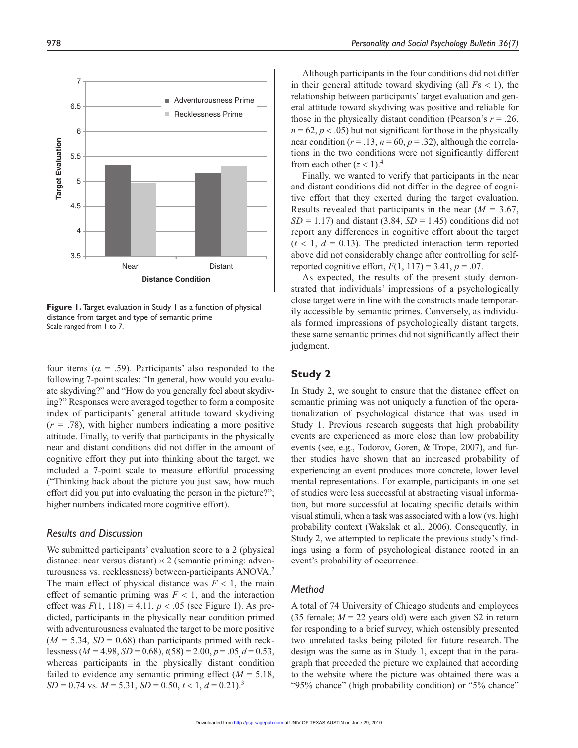

**Figure 1.** Target evaluation in Study 1 as a function of physical distance from target and type of semantic prime Scale ranged from 1 to 7.

four items ( $\alpha$  = .59). Participants' also responded to the following 7-point scales: "In general, how would you evaluate skydiving?" and "How do you generally feel about skydiving?" Responses were averaged together to form a composite index of participants' general attitude toward skydiving  $(r = .78)$ , with higher numbers indicating a more positive attitude. Finally, to verify that participants in the physically near and distant conditions did not differ in the amount of cognitive effort they put into thinking about the target, we included a 7-point scale to measure effortful processing ("Thinking back about the picture you just saw, how much effort did you put into evaluating the person in the picture?"; higher numbers indicated more cognitive effort).

#### *Results and Discussion*

We submitted participants' evaluation score to a 2 (physical distance: near versus distant)  $\times$  2 (semantic priming: adventurousness vs. recklessness) between-participants ANOVA.2 The main effect of physical distance was  $F < 1$ , the main effect of semantic priming was  $F < 1$ , and the interaction effect was  $F(1, 118) = 4.11$ ,  $p < .05$  (see Figure 1). As predicted, participants in the physically near condition primed with adventurousness evaluated the target to be more positive  $(M = 5.34, SD = 0.68)$  than participants primed with recklessness ( $M = 4.98$ ,  $SD = 0.68$ ),  $t(58) = 2.00$ ,  $p = .05$ ,  $d = 0.53$ , whereas participants in the physically distant condition failed to evidence any semantic priming effect  $(M = 5.18,$  $SD = 0.74$  vs.  $M = 5.31$ ,  $SD = 0.50$ ,  $t < 1$ ,  $d = 0.21$ .<sup>3</sup>

Although participants in the four conditions did not differ in their general attitude toward skydiving (all  $Fs < 1$ ), the relationship between participants' target evaluation and general attitude toward skydiving was positive and reliable for those in the physically distant condition (Pearson's  $r = .26$ ,  $n = 62$ ,  $p < .05$ ) but not significant for those in the physically near condition ( $r = .13$ ,  $n = 60$ ,  $p = .32$ ), although the correlations in the two conditions were not significantly different from each other  $(z < 1)$ .<sup>4</sup>

Finally, we wanted to verify that participants in the near and distant conditions did not differ in the degree of cognitive effort that they exerted during the target evaluation. Results revealed that participants in the near (*M =* 3.67,  $SD = 1.17$ ) and distant (3.84,  $SD = 1.45$ ) conditions did not report any differences in cognitive effort about the target  $(t < 1, d = 0.13)$ . The predicted interaction term reported above did not considerably change after controlling for selfreported cognitive effort,  $F(1, 117) = 3.41$ ,  $p = .07$ .

As expected, the results of the present study demonstrated that individuals' impressions of a psychologically close target were in line with the constructs made temporarily accessible by semantic primes. Conversely, as individuals formed impressions of psychologically distant targets, these same semantic primes did not significantly affect their judgment.

#### **Study 2**

In Study 2, we sought to ensure that the distance effect on semantic priming was not uniquely a function of the operationalization of psychological distance that was used in Study 1. Previous research suggests that high probability events are experienced as more close than low probability events (see, e.g., Todorov, Goren, & Trope, 2007), and further studies have shown that an increased probability of experiencing an event produces more concrete, lower level mental representations. For example, participants in one set of studies were less successful at abstracting visual information, but more successful at locating specific details within visual stimuli, when a task was associated with a low (vs. high) probability context (Wakslak et al., 2006). Consequently, in Study 2, we attempted to replicate the previous study's findings using a form of psychological distance rooted in an event's probability of occurrence.

#### *Method*

A total of 74 University of Chicago students and employees (35 female;  $M = 22$  years old) were each given \$2 in return for responding to a brief survey, which ostensibly presented two unrelated tasks being piloted for future research. The design was the same as in Study 1, except that in the paragraph that preceded the picture we explained that according to the website where the picture was obtained there was a "95% chance" (high probability condition) or "5% chance"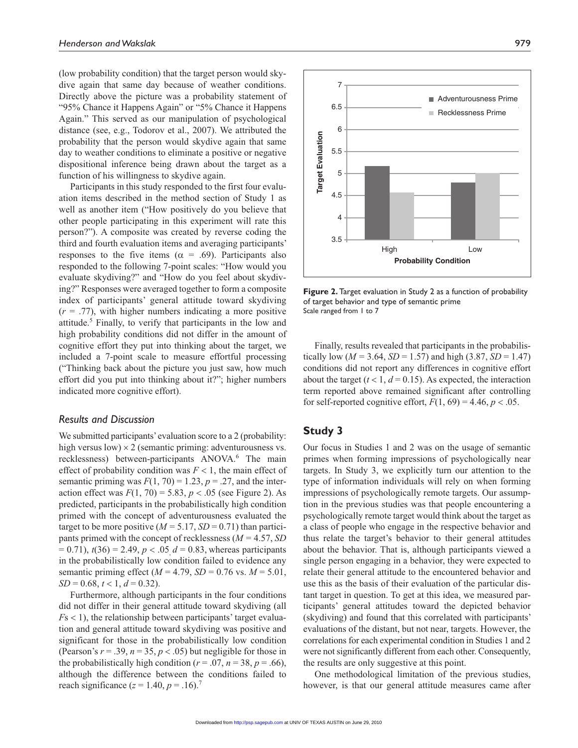(low probability condition) that the target person would skydive again that same day because of weather conditions. Directly above the picture was a probability statement of "95% Chance it Happens Again" or "5% Chance it Happens Again." This served as our manipulation of psychological distance (see, e.g., Todorov et al., 2007). We attributed the probability that the person would skydive again that same day to weather conditions to eliminate a positive or negative dispositional inference being drawn about the target as a function of his willingness to skydive again.

Participants in this study responded to the first four evaluation items described in the method section of Study 1 as well as another item ("How positively do you believe that other people participating in this experiment will rate this person?"). A composite was created by reverse coding the third and fourth evaluation items and averaging participants' responses to the five items ( $\alpha$  = .69). Participants also responded to the following 7-point scales: "How would you evaluate skydiving?" and "How do you feel about skydiving?" Responses were averaged together to form a composite index of participants' general attitude toward skydiving  $(r = .77)$ , with higher numbers indicating a more positive attitude.5 Finally, to verify that participants in the low and high probability conditions did not differ in the amount of cognitive effort they put into thinking about the target, we included a 7-point scale to measure effortful processing ("Thinking back about the picture you just saw, how much effort did you put into thinking about it?"; higher numbers indicated more cognitive effort).

#### *Results and Discussion*

We submitted participants' evaluation score to a 2 (probability: high versus low)  $\times$  2 (semantic priming: adventurousness vs. recklessness) between-participants ANOVA.<sup>6</sup> The main effect of probability condition was  $F < 1$ , the main effect of semantic priming was  $F(1, 70) = 1.23$ ,  $p = .27$ , and the interaction effect was  $F(1, 70) = 5.83$ ,  $p < .05$  (see Figure 2). As predicted, participants in the probabilistically high condition primed with the concept of adventurousness evaluated the target to be more positive  $(M = 5.17, SD = 0.71)$  than participants primed with the concept of recklessness (*M =* 4.57, *SD*   $= 0.71$ ,  $t(36) = 2.49$ ,  $p < .05$ ,  $d = 0.83$ , whereas participants in the probabilistically low condition failed to evidence any semantic priming effect (*M* = 4.79, *SD* = 0.76 vs. *M* = 5.01,  $SD = 0.68, t < 1, d = 0.32$ .

Furthermore, although participants in the four conditions did not differ in their general attitude toward skydiving (all  $Fs < 1$ , the relationship between participants' target evaluation and general attitude toward skydiving was positive and significant for those in the probabilistically low condition (Pearson's  $r = .39$ ,  $n = 35$ ,  $p < .05$ ) but negligible for those in the probabilistically high condition ( $r = .07$ ,  $n = 38$ ,  $p = .66$ ), although the difference between the conditions failed to reach significance  $(z = 1.40, p = .16).$ <sup>7</sup>



**Figure 2.** Target evaluation in Study 2 as a function of probability of target behavior and type of semantic prime Scale ranged from 1 to 7

Finally, results revealed that participants in the probabilistically low ( $M = 3.64$ ,  $SD = 1.57$ ) and high (3.87,  $SD = 1.47$ ) conditions did not report any differences in cognitive effort about the target  $(t < 1, d = 0.15)$ . As expected, the interaction term reported above remained significant after controlling for self-reported cognitive effort,  $F(1, 69) = 4.46$ ,  $p < .05$ .

#### **Study 3**

Our focus in Studies 1 and 2 was on the usage of semantic primes when forming impressions of psychologically near targets. In Study 3, we explicitly turn our attention to the type of information individuals will rely on when forming impressions of psychologically remote targets. Our assumption in the previous studies was that people encountering a psychologically remote target would think about the target as a class of people who engage in the respective behavior and thus relate the target's behavior to their general attitudes about the behavior. That is, although participants viewed a single person engaging in a behavior, they were expected to relate their general attitude to the encountered behavior and use this as the basis of their evaluation of the particular distant target in question. To get at this idea, we measured participants' general attitudes toward the depicted behavior (skydiving) and found that this correlated with participants' evaluations of the distant, but not near, targets. However, the correlations for each experimental condition in Studies 1 and 2 were not significantly different from each other. Consequently, the results are only suggestive at this point.

One methodological limitation of the previous studies, however, is that our general attitude measures came after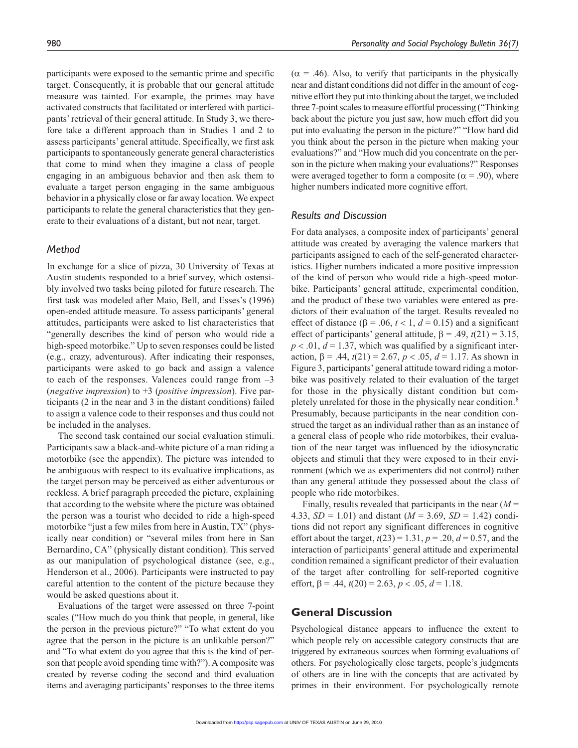participants were exposed to the semantic prime and specific target. Consequently, it is probable that our general attitude measure was tainted. For example, the primes may have activated constructs that facilitated or interfered with participants' retrieval of their general attitude. In Study 3, we therefore take a different approach than in Studies 1 and 2 to assess participants' general attitude. Specifically, we first ask participants to spontaneously generate general characteristics that come to mind when they imagine a class of people engaging in an ambiguous behavior and then ask them to evaluate a target person engaging in the same ambiguous behavior in a physically close or far away location. We expect participants to relate the general characteristics that they generate to their evaluations of a distant, but not near, target.

#### *Method*

In exchange for a slice of pizza, 30 University of Texas at Austin students responded to a brief survey, which ostensibly involved two tasks being piloted for future research. The first task was modeled after Maio, Bell, and Esses's (1996) open-ended attitude measure. To assess participants' general attitudes, participants were asked to list characteristics that "generally describes the kind of person who would ride a high-speed motorbike." Up to seven responses could be listed (e.g., crazy, adventurous). After indicating their responses, participants were asked to go back and assign a valence to each of the responses. Valences could range from –3 (*negative impression*) to +3 (*positive impression*). Five participants (2 in the near and 3 in the distant conditions) failed to assign a valence code to their responses and thus could not be included in the analyses.

The second task contained our social evaluation stimuli. Participants saw a black-and-white picture of a man riding a motorbike (see the appendix). The picture was intended to be ambiguous with respect to its evaluative implications, as the target person may be perceived as either adventurous or reckless. A brief paragraph preceded the picture, explaining that according to the website where the picture was obtained the person was a tourist who decided to ride a high-speed motorbike "just a few miles from here in Austin, TX" (physically near condition) or "several miles from here in San Bernardino, CA" (physically distant condition). This served as our manipulation of psychological distance (see, e.g., Henderson et al., 2006). Participants were instructed to pay careful attention to the content of the picture because they would be asked questions about it.

Evaluations of the target were assessed on three 7-point scales ("How much do you think that people, in general, like the person in the previous picture?" "To what extent do you agree that the person in the picture is an unlikable person?" and "To what extent do you agree that this is the kind of person that people avoid spending time with?"). A composite was created by reverse coding the second and third evaluation items and averaging participants' responses to the three items  $(\alpha = .46)$ . Also, to verify that participants in the physically near and distant conditions did not differ in the amount of cognitive effort they put into thinking about the target, we included three 7-point scales to measure effortful processing ("Thinking back about the picture you just saw, how much effort did you put into evaluating the person in the picture?" "How hard did you think about the person in the picture when making your evaluations?" and "How much did you concentrate on the person in the picture when making your evaluations?" Responses were averaged together to form a composite ( $\alpha$  = .90), where higher numbers indicated more cognitive effort.

#### *Results and Discussion*

For data analyses, a composite index of participants' general attitude was created by averaging the valence markers that participants assigned to each of the self-generated characteristics. Higher numbers indicated a more positive impression of the kind of person who would ride a high-speed motorbike. Participants' general attitude, experimental condition, and the product of these two variables were entered as predictors of their evaluation of the target. Results revealed no effect of distance ( $\beta$  = .06,  $t$  < 1,  $d$  = 0.15) and a significant effect of participants' general attitude,  $\beta$  = .49,  $t(21)$  = 3.15,  $p < .01$ ,  $d = 1.37$ , which was qualified by a significant interaction,  $\beta = .44$ ,  $t(21) = 2.67$ ,  $p < .05$ ,  $d = 1.17$ . As shown in Figure 3, participants' general attitude toward riding a motorbike was positively related to their evaluation of the target for those in the physically distant condition but completely unrelated for those in the physically near condition.<sup>8</sup> Presumably, because participants in the near condition construed the target as an individual rather than as an instance of a general class of people who ride motorbikes, their evaluation of the near target was influenced by the idiosyncratic objects and stimuli that they were exposed to in their environment (which we as experimenters did not control) rather than any general attitude they possessed about the class of people who ride motorbikes.

Finally, results revealed that participants in the near (*M* = 4.33,  $SD = 1.01$ ) and distant ( $M = 3.69$ ,  $SD = 1.42$ ) conditions did not report any significant differences in cognitive effort about the target,  $t(23) = 1.31$ ,  $p = .20$ ,  $d = 0.57$ , and the interaction of participants' general attitude and experimental condition remained a significant predictor of their evaluation of the target after controlling for self-reported cognitive effort,  $\beta = .44$ ,  $t(20) = 2.63$ ,  $p < .05$ ,  $d = 1.18$ .

#### **General Discussion**

Psychological distance appears to influence the extent to which people rely on accessible category constructs that are triggered by extraneous sources when forming evaluations of others. For psychologically close targets, people's judgments of others are in line with the concepts that are activated by primes in their environment. For psychologically remote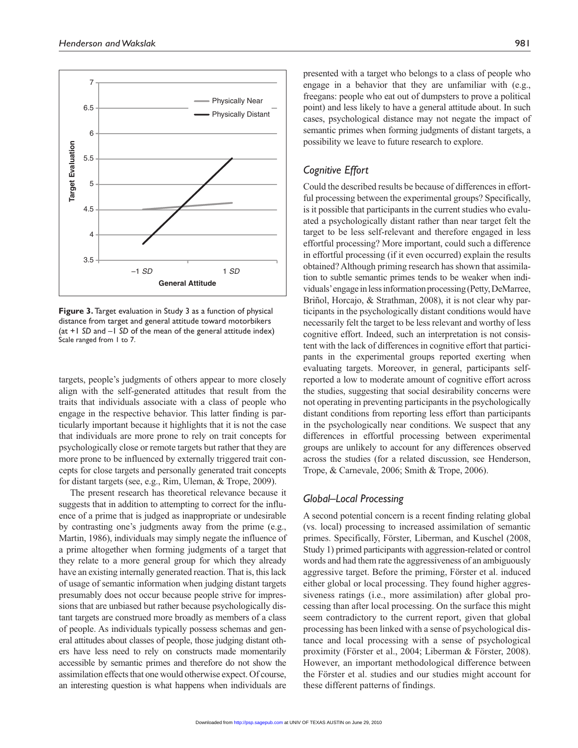

**Figure 3.** Target evaluation in Study 3 as a function of physical distance from target and general attitude toward motorbikers (at +1 *SD* and –1 *SD* of the mean of the general attitude index) Scale ranged from 1 to 7.

targets, people's judgments of others appear to more closely align with the self-generated attitudes that result from the traits that individuals associate with a class of people who engage in the respective behavior. This latter finding is particularly important because it highlights that it is not the case that individuals are more prone to rely on trait concepts for psychologically close or remote targets but rather that they are more prone to be influenced by externally triggered trait concepts for close targets and personally generated trait concepts for distant targets (see, e.g., Rim, Uleman, & Trope, 2009).

The present research has theoretical relevance because it suggests that in addition to attempting to correct for the influence of a prime that is judged as inappropriate or undesirable by contrasting one's judgments away from the prime (e.g., Martin, 1986), individuals may simply negate the influence of a prime altogether when forming judgments of a target that they relate to a more general group for which they already have an existing internally generated reaction. That is, this lack of usage of semantic information when judging distant targets presumably does not occur because people strive for impressions that are unbiased but rather because psychologically distant targets are construed more broadly as members of a class of people. As individuals typically possess schemas and general attitudes about classes of people, those judging distant others have less need to rely on constructs made momentarily accessible by semantic primes and therefore do not show the assimilation effects that one would otherwise expect. Of course, an interesting question is what happens when individuals are presented with a target who belongs to a class of people who engage in a behavior that they are unfamiliar with (e.g., freegans: people who eat out of dumpsters to prove a political point) and less likely to have a general attitude about. In such cases, psychological distance may not negate the impact of semantic primes when forming judgments of distant targets, a possibility we leave to future research to explore.

#### *Cognitive Effort*

Could the described results be because of differences in effortful processing between the experimental groups? Specifically, is it possible that participants in the current studies who evaluated a psychologically distant rather than near target felt the target to be less self-relevant and therefore engaged in less effortful processing? More important, could such a difference in effortful processing (if it even occurred) explain the results obtained? Although priming research has shown that assimilation to subtle semantic primes tends to be weaker when individuals' engage in less information processing (Petty, DeMarree, Briñol, Horcajo, & Strathman, 2008), it is not clear why participants in the psychologically distant conditions would have necessarily felt the target to be less relevant and worthy of less cognitive effort. Indeed, such an interpretation is not consistent with the lack of differences in cognitive effort that participants in the experimental groups reported exerting when evaluating targets. Moreover, in general, participants selfreported a low to moderate amount of cognitive effort across the studies, suggesting that social desirability concerns were not operating in preventing participants in the psychologically distant conditions from reporting less effort than participants in the psychologically near conditions. We suspect that any differences in effortful processing between experimental groups are unlikely to account for any differences observed across the studies (for a related discussion, see Henderson, Trope, & Carnevale, 2006; Smith & Trope, 2006).

#### *Global–Local Processing*

A second potential concern is a recent finding relating global (vs. local) processing to increased assimilation of semantic primes. Specifically, Förster, Liberman, and Kuschel (2008, Study 1) primed participants with aggression-related or control words and had them rate the aggressiveness of an ambiguously aggressive target. Before the priming, Förster et al. induced either global or local processing. They found higher aggressiveness ratings (i.e., more assimilation) after global processing than after local processing. On the surface this might seem contradictory to the current report, given that global processing has been linked with a sense of psychological distance and local processing with a sense of psychological proximity (Förster et al., 2004; Liberman & Förster, 2008). However, an important methodological difference between the Förster et al. studies and our studies might account for these different patterns of findings.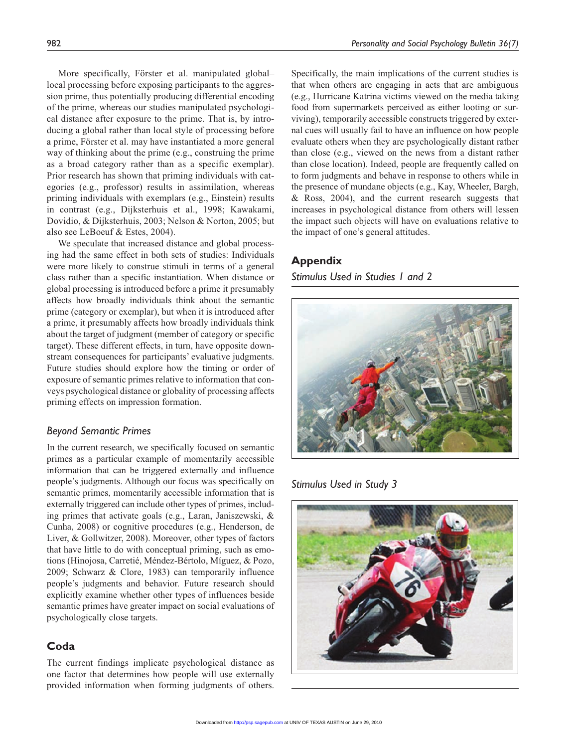More specifically, Förster et al. manipulated global– local processing before exposing participants to the aggression prime, thus potentially producing differential encoding of the prime, whereas our studies manipulated psychological distance after exposure to the prime. That is, by introducing a global rather than local style of processing before a prime, Förster et al. may have instantiated a more general way of thinking about the prime (e.g., construing the prime as a broad category rather than as a specific exemplar). Prior research has shown that priming individuals with categories (e.g., professor) results in assimilation, whereas priming individuals with exemplars (e.g., Einstein) results in contrast (e.g., Dijksterhuis et al., 1998; Kawakami, Dovidio, & Dijksterhuis, 2003; Nelson & Norton, 2005; but also see LeBoeuf & Estes, 2004).

We speculate that increased distance and global processing had the same effect in both sets of studies: Individuals were more likely to construe stimuli in terms of a general class rather than a specific instantiation. When distance or global processing is introduced before a prime it presumably affects how broadly individuals think about the semantic prime (category or exemplar), but when it is introduced after a prime, it presumably affects how broadly individuals think about the target of judgment (member of category or specific target). These different effects, in turn, have opposite downstream consequences for participants' evaluative judgments. Future studies should explore how the timing or order of exposure of semantic primes relative to information that conveys psychological distance or globality of processing affects priming effects on impression formation.

#### *Beyond Semantic Primes*

In the current research, we specifically focused on semantic primes as a particular example of momentarily accessible information that can be triggered externally and influence people's judgments. Although our focus was specifically on semantic primes, momentarily accessible information that is externally triggered can include other types of primes, including primes that activate goals (e.g., Laran, Janiszewski, & Cunha, 2008) or cognitive procedures (e.g., Henderson, de Liver, & Gollwitzer, 2008). Moreover, other types of factors that have little to do with conceptual priming, such as emotions (Hinojosa, Carretié, Méndez-Bértolo, Míguez, & Pozo, 2009; Schwarz & Clore, 1983) can temporarily influence people's judgments and behavior. Future research should explicitly examine whether other types of influences beside semantic primes have greater impact on social evaluations of psychologically close targets.

#### **Coda**

The current findings implicate psychological distance as one factor that determines how people will use externally provided information when forming judgments of others.

Specifically, the main implications of the current studies is that when others are engaging in acts that are ambiguous (e.g., Hurricane Katrina victims viewed on the media taking food from supermarkets perceived as either looting or surviving), temporarily accessible constructs triggered by external cues will usually fail to have an influence on how people evaluate others when they are psychologically distant rather than close (e.g., viewed on the news from a distant rather than close location). Indeed, people are frequently called on to form judgments and behave in response to others while in the presence of mundane objects (e.g., Kay, Wheeler, Bargh, & Ross, 2004), and the current research suggests that increases in psychological distance from others will lessen the impact such objects will have on evaluations relative to the impact of one's general attitudes.

#### **Appendix**

*Stimulus Used in Studies 1 and 2*



*Stimulus Used in Study 3*

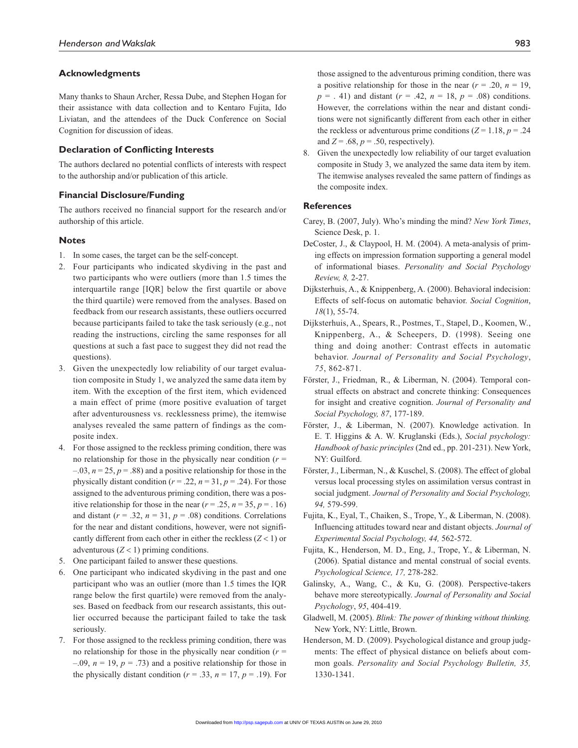#### **Acknowledgments**

Many thanks to Shaun Archer, Ressa Dube, and Stephen Hogan for their assistance with data collection and to Kentaro Fujita, Ido Liviatan, and the attendees of the Duck Conference on Social Cognition for discussion of ideas.

#### **Declaration of Conflicting Interests**

The authors declared no potential conflicts of interests with respect to the authorship and/or publication of this article.

#### **Financial Disclosure/Funding**

The authors received no financial support for the research and/or authorship of this article.

#### **Notes**

- 1. In some cases, the target can be the self-concept.
- 2. Four participants who indicated skydiving in the past and two participants who were outliers (more than 1.5 times the interquartile range [IQR] below the first quartile or above the third quartile) were removed from the analyses. Based on feedback from our research assistants, these outliers occurred because participants failed to take the task seriously (e.g., not reading the instructions, circling the same responses for all questions at such a fast pace to suggest they did not read the questions).
- 3. Given the unexpectedly low reliability of our target evaluation composite in Study 1, we analyzed the same data item by item. With the exception of the first item, which evidenced a main effect of prime (more positive evaluation of target after adventurousness vs. recklessness prime), the itemwise analyses revealed the same pattern of findings as the composite index.
- 4. For those assigned to the reckless priming condition, there was no relationship for those in the physically near condition  $(r =$  $-0.03$ ,  $n = 25$ ,  $p = 0.88$ ) and a positive relationship for those in the physically distant condition ( $r = .22$ ,  $n = 31$ ,  $p = .24$ ). For those assigned to the adventurous priming condition, there was a positive relationship for those in the near  $(r = .25, n = 35, p = .16)$ and distant  $(r = .32, n = 31, p = .08)$  conditions. Correlations for the near and distant conditions, however, were not significantly different from each other in either the reckless  $(Z < 1)$  or adventurous  $(Z < 1)$  priming conditions.
- 5. One participant failed to answer these questions.
- 6. One participant who indicated skydiving in the past and one participant who was an outlier (more than 1.5 times the IQR range below the first quartile) were removed from the analyses. Based on feedback from our research assistants, this outlier occurred because the participant failed to take the task seriously.
- 7. For those assigned to the reckless priming condition, there was no relationship for those in the physically near condition  $(r =$  $-0.09$ ,  $n = 19$ ,  $p = 0.73$  and a positive relationship for those in the physically distant condition ( $r = .33$ ,  $n = 17$ ,  $p = .19$ ). For

those assigned to the adventurous priming condition, there was a positive relationship for those in the near  $(r = .20, n = 19,$  $p = .41$ ) and distant ( $r = .42$ ,  $n = 18$ ,  $p = .08$ ) conditions. However, the correlations within the near and distant conditions were not significantly different from each other in either the reckless or adventurous prime conditions  $(Z = 1.18, p = .24)$ and  $Z = .68$ ,  $p = .50$ , respectively).

8. Given the unexpectedly low reliability of our target evaluation composite in Study 3, we analyzed the same data item by item. The itemwise analyses revealed the same pattern of findings as the composite index.

#### **References**

- Carey, B. (2007, July). Who's minding the mind? *New York Times*, Science Desk, p. 1.
- DeCoster, J., & Claypool, H. M. (2004). A meta-analysis of priming effects on impression formation supporting a general model of informational biases. *Personality and Social Psychology Review, 8,* 2-27.
- Dijksterhuis, A., & Knippenberg, A. (2000). Behavioral indecision: Effects of self-focus on automatic behavior. *Social Cognition*, *18*(1), 55-74.
- Dijksterhuis, A., Spears, R., Postmes, T., Stapel, D., Koomen, W., Knippenberg, A., & Scheepers, D. (1998). Seeing one thing and doing another: Contrast effects in automatic behavior. *Journal of Personality and Social Psychology*, *75*, 862-871.
- Förster, J., Friedman, R., & Liberman, N. (2004). Temporal construal effects on abstract and concrete thinking: Consequences for insight and creative cognition. *Journal of Personality and Social Psychology, 87*, 177-189.
- Förster, J., & Liberman, N. (2007). Knowledge activation. In E. T. Higgins & A. W. Kruglanski (Eds.), *Social psychology: Handbook of basic principles* (2nd ed., pp. 201-231). New York, NY: Guilford.
- Förster, J., Liberman, N., & Kuschel, S. (2008). The effect of global versus local processing styles on assimilation versus contrast in social judgment. *Journal of Personality and Social Psychology, 94,* 579-599.
- Fujita, K., Eyal, T., Chaiken, S., Trope, Y., & Liberman, N. (2008). Influencing attitudes toward near and distant objects. *Journal of Experimental Social Psychology, 44,* 562-572.
- Fujita, K., Henderson, M. D., Eng, J., Trope, Y., & Liberman, N. (2006). Spatial distance and mental construal of social events. *Psychological Science, 17,* 278-282.
- Galinsky, A., Wang, C., & Ku, G. (2008). Perspective-takers behave more stereotypically. *Journal of Personality and Social Psychology*, *95*, 404-419.
- Gladwell, M. (2005). *Blink: The power of thinking without thinking.* New York, NY: Little, Brown.
- Henderson, M. D. (2009). Psychological distance and group judgments: The effect of physical distance on beliefs about common goals. *Personality and Social Psychology Bulletin, 35,* 1330-1341.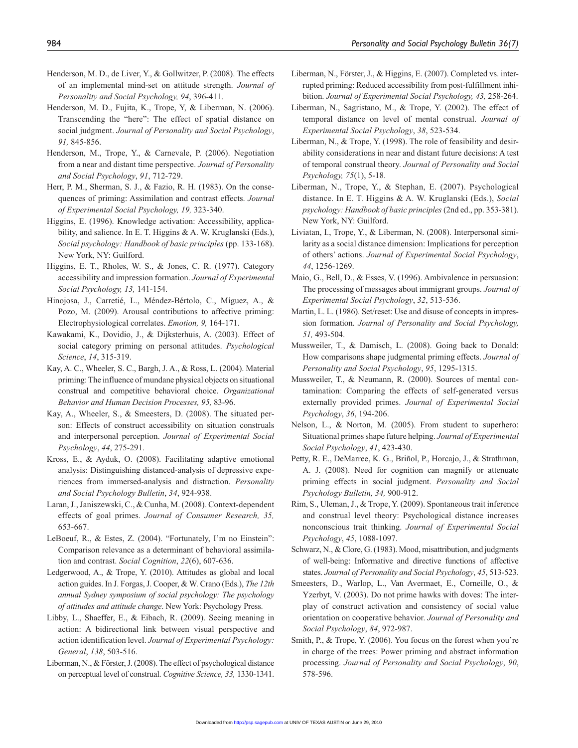- Henderson, M. D., de Liver, Y., & Gollwitzer, P. (2008). The effects of an implemental mind-set on attitude strength. *Journal of Personality and Social Psychology, 94*, 396-411.
- Henderson, M. D., Fujita, K., Trope, Y, & Liberman, N. (2006). Transcending the "here": The effect of spatial distance on social judgment. *Journal of Personality and Social Psychology*, *91,* 845-856.
- Henderson, M., Trope, Y., & Carnevale, P. (2006). Negotiation from a near and distant time perspective. *Journal of Personality and Social Psychology*, *91*, 712-729.
- Herr, P. M., Sherman, S. J., & Fazio, R. H. (1983). On the consequences of priming: Assimilation and contrast effects. *Journal of Experimental Social Psychology, 19,* 323-340.
- Higgins, E. (1996). Knowledge activation: Accessibility, applicability, and salience. In E. T. Higgins & A. W. Kruglanski (Eds.), *Social psychology: Handbook of basic principles* (pp. 133-168). New York, NY: Guilford.
- Higgins, E. T., Rholes, W. S., & Jones, C. R. (1977). Category accessibility and impression formation. *Journal of Experimental Social Psychology, 13,* 141-154.
- Hinojosa, J., Carretié, L., Méndez-Bértolo, C., Míguez, A., & Pozo, M. (2009). Arousal contributions to affective priming: Electrophysiological correlates. *Emotion, 9,* 164-171.
- Kawakami, K., Dovidio, J., & Dijksterhuis, A. (2003). Effect of social category priming on personal attitudes. *Psychological Science*, *14*, 315-319.
- Kay, A. C., Wheeler, S. C., Bargh, J. A., & Ross, L. (2004). Material priming: The influence of mundane physical objects on situational construal and competitive behavioral choice. *Organizational Behavior and Human Decision Processes, 95,* 83-96.
- Kay, A., Wheeler, S., & Smeesters, D. (2008). The situated person: Effects of construct accessibility on situation construals and interpersonal perception. *Journal of Experimental Social Psychology*, *44*, 275-291.
- Kross, E., & Ayduk, O. (2008). Facilitating adaptive emotional analysis: Distinguishing distanced-analysis of depressive experiences from immersed-analysis and distraction. *Personality and Social Psychology Bulletin*, *34*, 924-938.
- Laran, J., Janiszewski, C., & Cunha, M. (2008). Context-dependent effects of goal primes. *Journal of Consumer Research, 35,* 653-667.
- LeBoeuf, R., & Estes, Z. (2004). "Fortunately, I'm no Einstein": Comparison relevance as a determinant of behavioral assimilation and contrast. *Social Cognition*, *22*(6), 607-636.
- Ledgerwood, A., & Trope, Y. (2010). Attitudes as global and local action guides. In J. Forgas, J. Cooper, & W. Crano (Eds.), *The 12th annual Sydney symposium of social psychology: The psychology of attitudes and attitude change*. New York: Psychology Press.
- Libby, L., Shaeffer, E., & Eibach, R. (2009). Seeing meaning in action: A bidirectional link between visual perspective and action identification level. *Journal of Experimental Psychology: General*, *138*, 503-516.
- Liberman, N., & Förster, J. (2008). The effect of psychological distance on perceptual level of construal. *Cognitive Science, 33,* 1330-1341.
- Liberman, N., Förster, J., & Higgins, E. (2007). Completed vs. interrupted priming: Reduced accessibility from post-fulfillment inhibition. *Journal of Experimental Social Psychology, 43,* 258-264.
- Liberman, N., Sagristano, M., & Trope, Y. (2002). The effect of temporal distance on level of mental construal. *Journal of Experimental Social Psychology*, *38*, 523-534.
- Liberman, N., & Trope, Y. (1998). The role of feasibility and desirability considerations in near and distant future decisions: A test of temporal construal theory. *Journal of Personality and Social Psychology, 75*(1), 5-18.
- Liberman, N., Trope, Y., & Stephan, E. (2007). Psychological distance. In E. T. Higgins & A. W. Kruglanski (Eds.), *Social psychology: Handbook of basic principles* (2nd ed., pp. 353-381). New York, NY: Guilford.
- Liviatan, I., Trope, Y., & Liberman, N. (2008). Interpersonal similarity as a social distance dimension: Implications for perception of others' actions. *Journal of Experimental Social Psychology*, *44*, 1256-1269.
- Maio, G., Bell, D., & Esses, V. (1996). Ambivalence in persuasion: The processing of messages about immigrant groups. *Journal of Experimental Social Psychology*, *32*, 513-536.
- Martin, L. L. (1986). Set/reset: Use and disuse of concepts in impression formation. *Journal of Personality and Social Psychology, 51,* 493-504.
- Mussweiler, T., & Damisch, L. (2008). Going back to Donald: How comparisons shape judgmental priming effects. *Journal of Personality and Social Psychology*, *95*, 1295-1315.
- Mussweiler, T., & Neumann, R. (2000). Sources of mental contamination: Comparing the effects of self-generated versus externally provided primes. *Journal of Experimental Social Psychology*, *36*, 194-206.
- Nelson, L., & Norton, M. (2005). From student to superhero: Situational primes shape future helping. *Journal of Experimental Social Psychology*, *41*, 423-430.
- Petty, R. E., DeMarree, K. G., Briñol, P., Horcajo, J., & Strathman, A. J. (2008). Need for cognition can magnify or attenuate priming effects in social judgment. *Personality and Social Psychology Bulletin, 34,* 900-912.
- Rim, S., Uleman, J., & Trope, Y. (2009). Spontaneous trait inference and construal level theory: Psychological distance increases nonconscious trait thinking. *Journal of Experimental Social Psychology*, *45*, 1088-1097.
- Schwarz, N., & Clore, G. (1983). Mood, misattribution, and judgments of well-being: Informative and directive functions of affective states. *Journal of Personality and Social Psychology*, *45*, 513-523.
- Smeesters, D., Warlop, L., Van Avermaet, E., Corneille, O., & Yzerbyt, V. (2003). Do not prime hawks with doves: The interplay of construct activation and consistency of social value orientation on cooperative behavior. *Journal of Personality and Social Psychology*, *84*, 972-987.
- Smith, P., & Trope, Y. (2006). You focus on the forest when you're in charge of the trees: Power priming and abstract information processing. *Journal of Personality and Social Psychology*, *90*, 578-596.